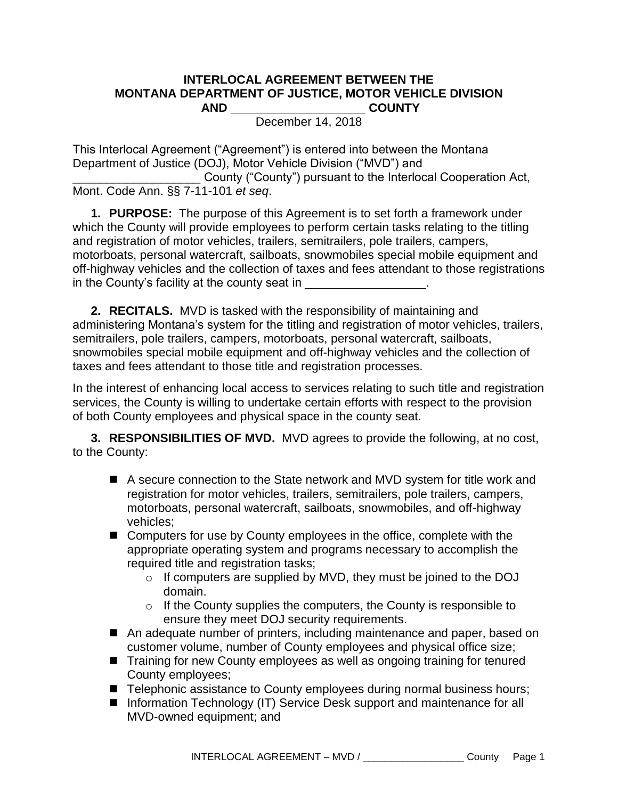## **INTERLOCAL AGREEMENT BETWEEN THE MONTANA DEPARTMENT OF JUSTICE, MOTOR VEHICLE DIVISION AND \_\_\_\_\_\_\_\_\_\_\_\_\_\_\_\_\_\_\_\_ COUNTY**

December 14, 2018

This Interlocal Agreement ("Agreement") is entered into between the Montana Department of Justice (DOJ), Motor Vehicle Division ("MVD") and

County ("County") pursuant to the Interlocal Cooperation Act, Mont. Code Ann. §§ 7-11-101 *et seq*.

**1. PURPOSE:** The purpose of this Agreement is to set forth a framework under which the County will provide employees to perform certain tasks relating to the titling and registration of motor vehicles, trailers, semitrailers, pole trailers, campers, motorboats, personal watercraft, sailboats, snowmobiles special mobile equipment and off-highway vehicles and the collection of taxes and fees attendant to those registrations in the County's facility at the county seat in

**2. RECITALS.** MVD is tasked with the responsibility of maintaining and administering Montana's system for the titling and registration of motor vehicles, trailers, semitrailers, pole trailers, campers, motorboats, personal watercraft, sailboats, snowmobiles special mobile equipment and off-highway vehicles and the collection of taxes and fees attendant to those title and registration processes.

In the interest of enhancing local access to services relating to such title and registration services, the County is willing to undertake certain efforts with respect to the provision of both County employees and physical space in the county seat.

**3. RESPONSIBILITIES OF MVD.** MVD agrees to provide the following, at no cost, to the County:

- A secure connection to the State network and MVD system for title work and registration for motor vehicles, trailers, semitrailers, pole trailers, campers, motorboats, personal watercraft, sailboats, snowmobiles, and off-highway vehicles;
- Computers for use by County employees in the office, complete with the appropriate operating system and programs necessary to accomplish the required title and registration tasks;
	- o If computers are supplied by MVD, they must be joined to the DOJ domain.
	- $\circ$  If the County supplies the computers, the County is responsible to ensure they meet DOJ security requirements.
- An adequate number of printers, including maintenance and paper, based on customer volume, number of County employees and physical office size;
- Training for new County employees as well as ongoing training for tenured County employees;
- Telephonic assistance to County employees during normal business hours;
- Information Technology (IT) Service Desk support and maintenance for all MVD-owned equipment; and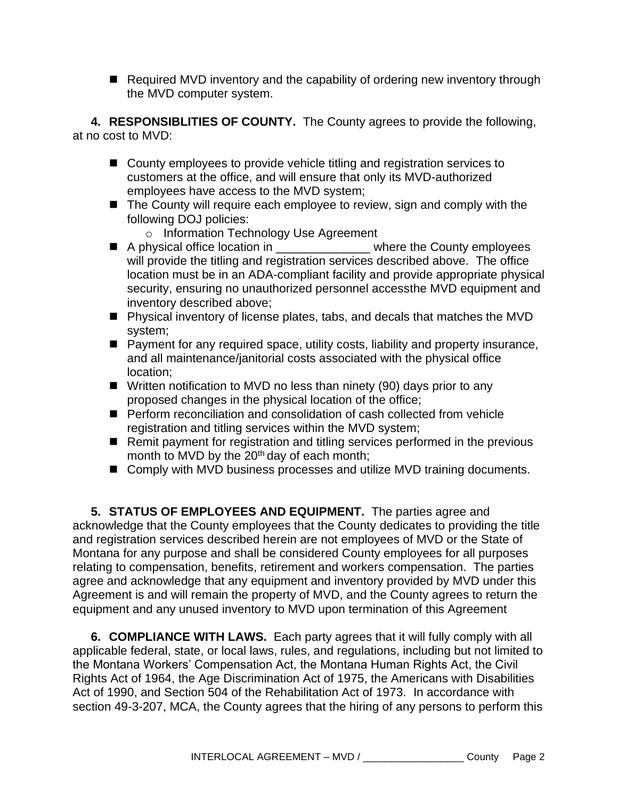■ Required MVD inventory and the capability of ordering new inventory through the MVD computer system.

**4. RESPONSIBLITIES OF COUNTY.** The County agrees to provide the following, at no cost to MVD:

- County employees to provide vehicle titling and registration services to customers at the office, and will ensure that only its MVD-authorized employees have access to the MVD system;
- The County will require each employee to review, sign and comply with the following DOJ policies:
	- o Information Technology Use Agreement
- A physical office location in \_\_\_\_\_\_\_\_\_\_\_\_\_\_\_\_\_\_ where the County employees will provide the titling and registration services described above. The office location must be in an ADA-compliant facility and provide appropriate physical security, ensuring no unauthorized personnel accessthe MVD equipment and inventory described above;
- Physical inventory of license plates, tabs, and decals that matches the MVD system;
- Payment for any required space, utility costs, liability and property insurance, and all maintenance/janitorial costs associated with the physical office location;
- Written notification to MVD no less than ninety (90) days prior to any proposed changes in the physical location of the office;
- Perform reconciliation and consolidation of cash collected from vehicle registration and titling services within the MVD system;
- Remit payment for registration and titling services performed in the previous month to MVD by the  $20<sup>th</sup>$  day of each month;
- Comply with MVD business processes and utilize MVD training documents.

**5. STATUS OF EMPLOYEES AND EQUIPMENT.** The parties agree and acknowledge that the County employees that the County dedicates to providing the title and registration services described herein are not employees of MVD or the State of Montana for any purpose and shall be considered County employees for all purposes relating to compensation, benefits, retirement and workers compensation. The parties agree and acknowledge that any equipment and inventory provided by MVD under this Agreement is and will remain the property of MVD, and the County agrees to return the equipment and any unused inventory to MVD upon termination of this Agreement

**6. COMPLIANCE WITH LAWS.** Each party agrees that it will fully comply with all applicable federal, state, or local laws, rules, and regulations, including but not limited to the Montana Workers' Compensation Act, the Montana Human Rights Act, the Civil Rights Act of 1964, the Age Discrimination Act of 1975, the Americans with Disabilities Act of 1990, and Section 504 of the Rehabilitation Act of 1973. In accordance with section 49-3-207, MCA, the County agrees that the hiring of any persons to perform this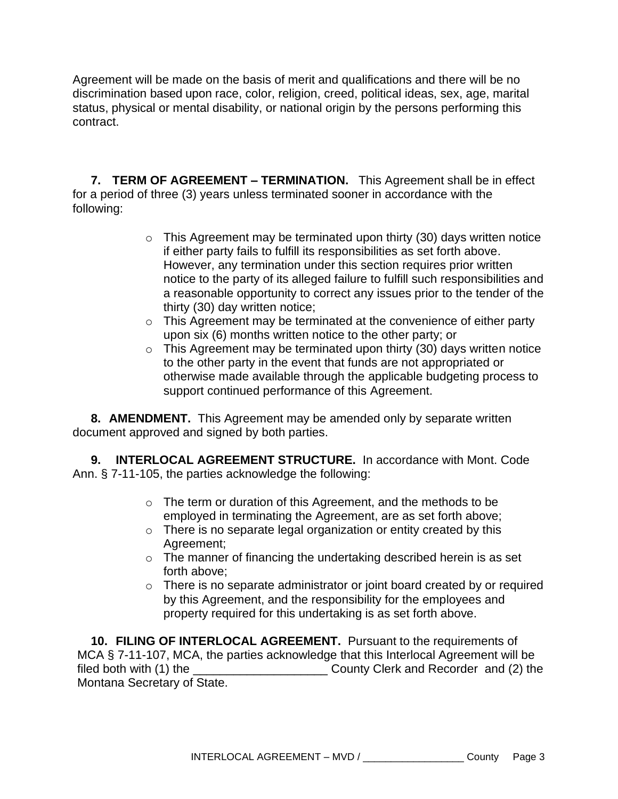Agreement will be made on the basis of merit and qualifications and there will be no discrimination based upon race, color, religion, creed, political ideas, sex, age, marital status, physical or mental disability, or national origin by the persons performing this contract.

**7. TERM OF AGREEMENT – TERMINATION.** This Agreement shall be in effect for a period of three (3) years unless terminated sooner in accordance with the following:

- $\circ$  This Agreement may be terminated upon thirty (30) days written notice if either party fails to fulfill its responsibilities as set forth above. However, any termination under this section requires prior written notice to the party of its alleged failure to fulfill such responsibilities and a reasonable opportunity to correct any issues prior to the tender of the thirty (30) day written notice;
- $\circ$  This Agreement may be terminated at the convenience of either party upon six (6) months written notice to the other party; or
- $\circ$  This Agreement may be terminated upon thirty (30) days written notice to the other party in the event that funds are not appropriated or otherwise made available through the applicable budgeting process to support continued performance of this Agreement.

**8. AMENDMENT.** This Agreement may be amended only by separate written document approved and signed by both parties.

**9. INTERLOCAL AGREEMENT STRUCTURE.** In accordance with Mont. Code Ann. § 7-11-105, the parties acknowledge the following:

- o The term or duration of this Agreement, and the methods to be employed in terminating the Agreement, are as set forth above;
- o There is no separate legal organization or entity created by this Agreement;
- o The manner of financing the undertaking described herein is as set forth above;
- o There is no separate administrator or joint board created by or required by this Agreement, and the responsibility for the employees and property required for this undertaking is as set forth above.

**10. FILING OF INTERLOCAL AGREEMENT.** Pursuant to the requirements of MCA § 7-11-107, MCA, the parties acknowledge that this Interlocal Agreement will be filed both with (1) the \_\_\_\_\_\_\_\_\_\_\_\_\_\_\_\_\_\_\_\_ County Clerk and Recorder and (2) the Montana Secretary of State.